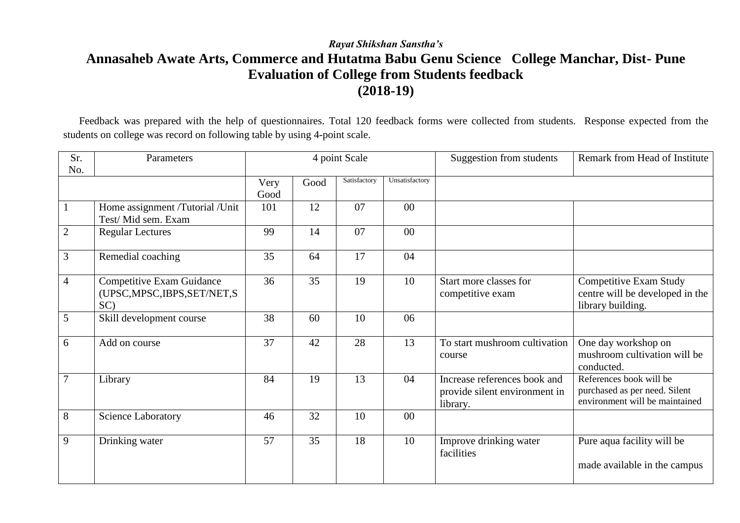#### *Rayat Shikshan Sanstha's*  **Annasaheb Awate Arts, Commerce and Hutatma Babu Genu Science College Manchar, Dist- Pune Evaluation of College from Students feedback (2018-19)**

 Feedback was prepared with the help of questionnaires. Total 120 feedback forms were collected from students. Response expected from the students on college was record on following table by using 4-point scale.

| Sr.<br>No.     | Parameters                                                               | 4 point Scale |      | Suggestion from students | Remark from Head of Institute |                                                                           |                                                                                            |
|----------------|--------------------------------------------------------------------------|---------------|------|--------------------------|-------------------------------|---------------------------------------------------------------------------|--------------------------------------------------------------------------------------------|
|                |                                                                          | Very<br>Good  | Good | Satisfactory             | Unsatisfactory                |                                                                           |                                                                                            |
| $\mathbf{1}$   | Home assignment /Tutorial /Unit<br>Test/ Mid sem. Exam                   | 101           | 12   | 07                       | $00\,$                        |                                                                           |                                                                                            |
| $\overline{2}$ | <b>Regular Lectures</b>                                                  | 99            | 14   | 07                       | 00                            |                                                                           |                                                                                            |
| 3              | Remedial coaching                                                        | 35            | 64   | 17                       | 04                            |                                                                           |                                                                                            |
| $\overline{4}$ | <b>Competitive Exam Guidance</b><br>(UPSC, MPSC, IBPS, SET/NET, S<br>SC) | 36            | 35   | 19                       | 10                            | Start more classes for<br>competitive exam                                | Competitive Exam Study<br>centre will be developed in the<br>library building.             |
| 5              | Skill development course                                                 | 38            | 60   | 10                       | 06                            |                                                                           |                                                                                            |
| 6              | Add on course                                                            | 37            | 42   | 28                       | 13                            | To start mushroom cultivation<br>course                                   | One day workshop on<br>mushroom cultivation will be<br>conducted.                          |
| $\overline{7}$ | Library                                                                  | 84            | 19   | 13                       | 04                            | Increase references book and<br>provide silent environment in<br>library. | References book will be<br>purchased as per need. Silent<br>environment will be maintained |
| $8\,$          | Science Laboratory                                                       | 46            | 32   | 10                       | $00\,$                        |                                                                           |                                                                                            |
| 9              | Drinking water                                                           | 57            | 35   | 18                       | 10                            | Improve drinking water<br>facilities                                      | Pure aqua facility will be<br>made available in the campus                                 |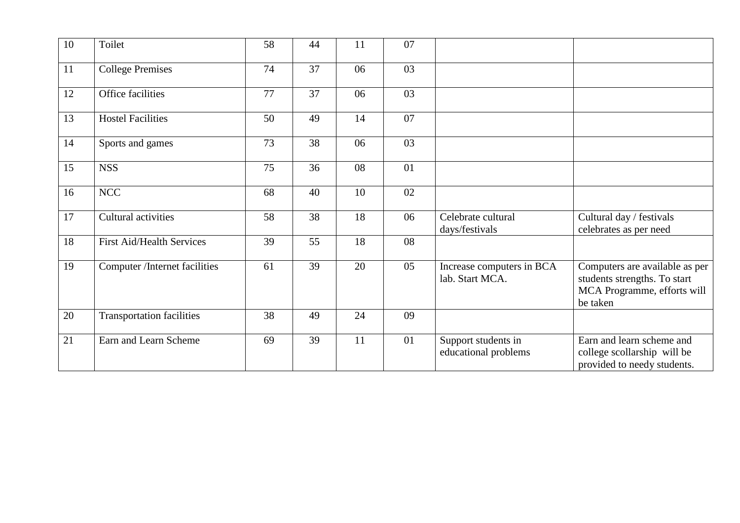| 10 | Toilet                           | 58 | 44 | 11 | 07              |                                              |                                                                                                           |
|----|----------------------------------|----|----|----|-----------------|----------------------------------------------|-----------------------------------------------------------------------------------------------------------|
| 11 | <b>College Premises</b>          | 74 | 37 | 06 | 03              |                                              |                                                                                                           |
| 12 | Office facilities                | 77 | 37 | 06 | 03              |                                              |                                                                                                           |
| 13 | <b>Hostel Facilities</b>         | 50 | 49 | 14 | $\overline{07}$ |                                              |                                                                                                           |
| 14 | Sports and games                 | 73 | 38 | 06 | 03              |                                              |                                                                                                           |
| 15 | <b>NSS</b>                       | 75 | 36 | 08 | 01              |                                              |                                                                                                           |
| 16 | NCC                              | 68 | 40 | 10 | 02              |                                              |                                                                                                           |
| 17 | Cultural activities              | 58 | 38 | 18 | 06              | Celebrate cultural<br>days/festivals         | Cultural day / festivals<br>celebrates as per need                                                        |
| 18 | <b>First Aid/Health Services</b> | 39 | 55 | 18 | 08              |                                              |                                                                                                           |
| 19 | Computer /Internet facilities    | 61 | 39 | 20 | 05              | Increase computers in BCA<br>lab. Start MCA. | Computers are available as per<br>students strengths. To start<br>MCA Programme, efforts will<br>be taken |
| 20 | <b>Transportation facilities</b> | 38 | 49 | 24 | 09              |                                              |                                                                                                           |
| 21 | Earn and Learn Scheme            | 69 | 39 | 11 | 01              | Support students in<br>educational problems  | Earn and learn scheme and<br>college scollarship will be<br>provided to needy students.                   |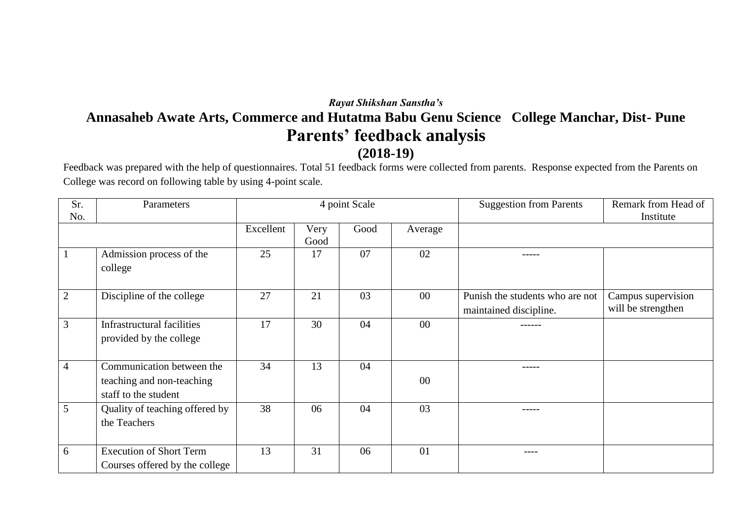### *Rayat Shikshan Sanstha's*  **Annasaheb Awate Arts, Commerce and Hutatma Babu Genu Science College Manchar, Dist- Pune Parents' feedback analysis (2018-19)**

Feedback was prepared with the help of questionnaires. Total 51 feedback forms were collected from parents. Response expected from the Parents on College was record on following table by using 4-point scale.

| Sr.<br>No.     | Parameters                                                                     | 4 point Scale |              | <b>Suggestion from Parents</b> | Remark from Head of<br>Institute |                                                           |                                          |
|----------------|--------------------------------------------------------------------------------|---------------|--------------|--------------------------------|----------------------------------|-----------------------------------------------------------|------------------------------------------|
|                |                                                                                | Excellent     | Very<br>Good | Good                           | Average                          |                                                           |                                          |
|                | Admission process of the<br>college                                            | 25            | 17           | 07                             | 02                               |                                                           |                                          |
| $\overline{2}$ | Discipline of the college                                                      | 27            | 21           | 03                             | 00                               | Punish the students who are not<br>maintained discipline. | Campus supervision<br>will be strengthen |
| 3              | <b>Infrastructural facilities</b><br>provided by the college                   | 17            | 30           | 04                             | 00                               |                                                           |                                          |
| 4              | Communication between the<br>teaching and non-teaching<br>staff to the student | 34            | 13           | 04                             | 00                               | -----                                                     |                                          |
| 5              | Quality of teaching offered by<br>the Teachers                                 | 38            | 06           | 04                             | 03                               | -----                                                     |                                          |
| 6              | <b>Execution of Short Term</b><br>Courses offered by the college               | 13            | 31           | 06                             | 01                               | ----                                                      |                                          |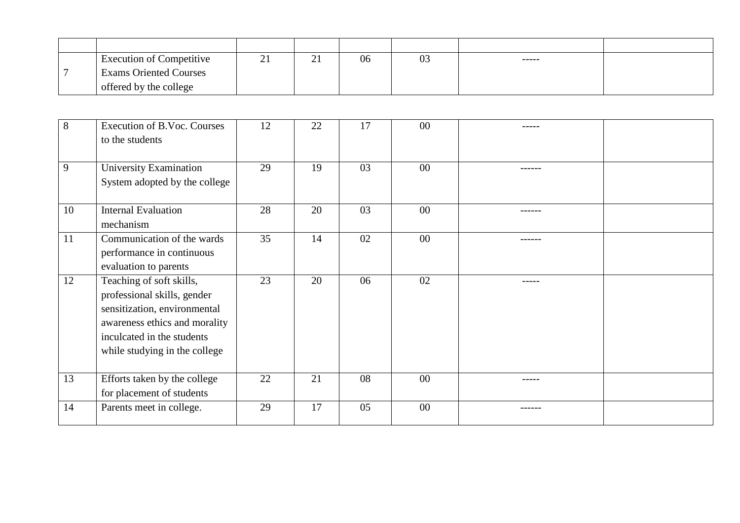| <b>Execution of Competitive</b> | ر پ | ∸ | 06 | $\Omega$<br>U3 |  |
|---------------------------------|-----|---|----|----------------|--|
| <b>Exams Oriented Courses</b>   |     |   |    |                |  |
| offered by the college          |     |   |    |                |  |

| 8  | Execution of B.Voc. Courses   | 12              | 22 | 17 | $00\,$ | -----  |  |
|----|-------------------------------|-----------------|----|----|--------|--------|--|
|    | to the students               |                 |    |    |        |        |  |
|    |                               |                 |    |    |        |        |  |
| 9  | University Examination        | 29              | 19 | 03 | $00\,$ | ------ |  |
|    | System adopted by the college |                 |    |    |        |        |  |
|    |                               |                 |    |    |        |        |  |
| 10 | <b>Internal Evaluation</b>    | 28              | 20 | 03 | $00\,$ | ------ |  |
|    | mechanism                     |                 |    |    |        |        |  |
| 11 | Communication of the wards    | $\overline{35}$ | 14 | 02 | $00\,$ | ------ |  |
|    | performance in continuous     |                 |    |    |        |        |  |
|    | evaluation to parents         |                 |    |    |        |        |  |
| 12 | Teaching of soft skills,      | 23              | 20 | 06 | 02     |        |  |
|    | professional skills, gender   |                 |    |    |        |        |  |
|    | sensitization, environmental  |                 |    |    |        |        |  |
|    | awareness ethics and morality |                 |    |    |        |        |  |
|    | inculcated in the students    |                 |    |    |        |        |  |
|    | while studying in the college |                 |    |    |        |        |  |
|    |                               |                 |    |    |        |        |  |
| 13 | Efforts taken by the college  | 22              | 21 | 08 | $00\,$ |        |  |
|    | for placement of students     |                 |    |    |        |        |  |
| 14 | Parents meet in college.      | 29              | 17 | 05 | 00     | ------ |  |
|    |                               |                 |    |    |        |        |  |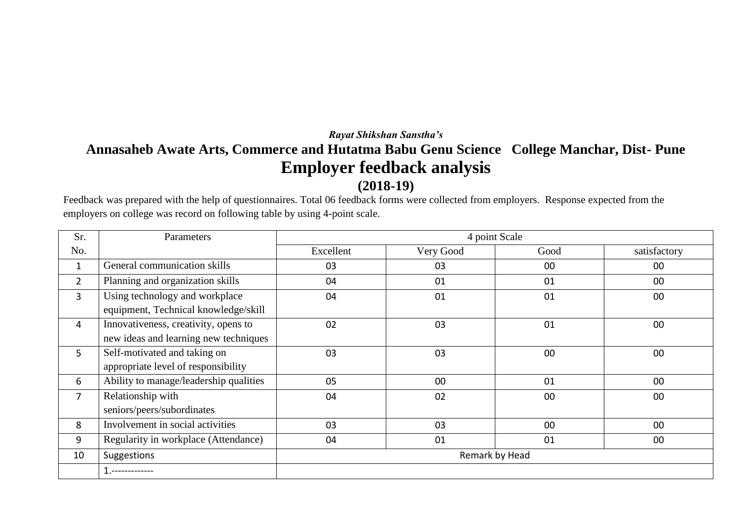### *Rayat Shikshan Sanstha's*  **Annasaheb Awate Arts, Commerce and Hutatma Babu Genu Science College Manchar, Dist- Pune Employer feedback analysis (2018-19)**

Feedback was prepared with the help of questionnaires. Total 06 feedback forms were collected from employers. Response expected from the employers on college was record on following table by using 4-point scale.

| Sr.            | Parameters                                                                    | 4 point Scale  |           |      |              |  |  |  |
|----------------|-------------------------------------------------------------------------------|----------------|-----------|------|--------------|--|--|--|
| No.            |                                                                               | Excellent      | Very Good | Good | satisfactory |  |  |  |
| $\mathbf{1}$   | General communication skills                                                  | 03             | 03        | 00   | 00           |  |  |  |
| $\overline{2}$ | Planning and organization skills                                              | 04             | 01        | 01   | $00\,$       |  |  |  |
| 3              | Using technology and workplace<br>equipment, Technical knowledge/skill        | 04             | 01        | 01   | 00           |  |  |  |
| 4              | Innovativeness, creativity, opens to<br>new ideas and learning new techniques | 02             | 03        | 01   | 00           |  |  |  |
| 5              | Self-motivated and taking on<br>appropriate level of responsibility           | 03             | 03        | 00   | 00           |  |  |  |
| 6              | Ability to manage/leadership qualities                                        | 05             | 00        | 01   | $00\,$       |  |  |  |
| $\overline{7}$ | Relationship with<br>seniors/peers/subordinates                               | 04             | 02        | 00   | $00\,$       |  |  |  |
| 8              | Involvement in social activities                                              | 03             | 03        | 00   | 00           |  |  |  |
| 9              | Regularity in workplace (Attendance)                                          | 04             | 01        | 01   | $00\,$       |  |  |  |
| 10             | Suggestions                                                                   | Remark by Head |           |      |              |  |  |  |
|                | -------------                                                                 |                |           |      |              |  |  |  |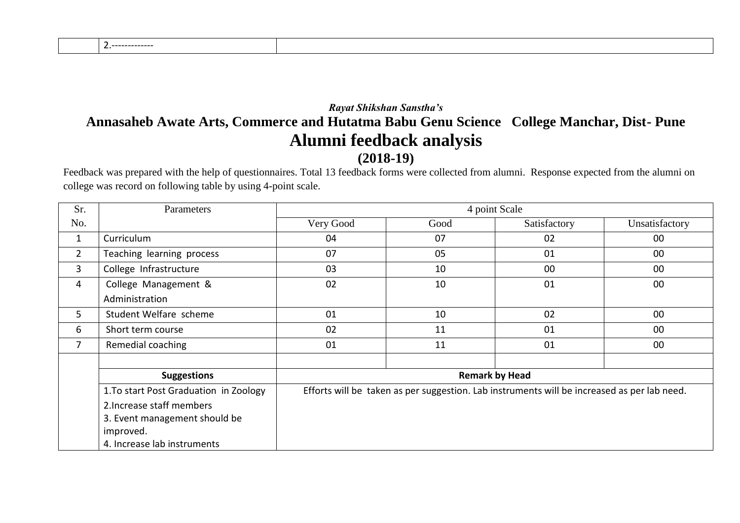| _______________<br>$\overline{\phantom{0}}$ |
|---------------------------------------------|
|---------------------------------------------|

## *Rayat Shikshan Sanstha's*  **Annasaheb Awate Arts, Commerce and Hutatma Babu Genu Science College Manchar, Dist- Pune Alumni feedback analysis**

### **(2018-19)**

Feedback was prepared with the help of questionnaires. Total 13 feedback forms were collected from alumni. Response expected from the alumni on college was record on following table by using 4-point scale.

| Sr.            | Parameters                             | 4 point Scale         |      |                                                                                             |                |  |  |  |
|----------------|----------------------------------------|-----------------------|------|---------------------------------------------------------------------------------------------|----------------|--|--|--|
| No.            |                                        | Very Good             | Good | Satisfactory                                                                                | Unsatisfactory |  |  |  |
| $\mathbf{1}$   | Curriculum                             | 04                    | 07   | 02                                                                                          | 00             |  |  |  |
| $\overline{2}$ | Teaching learning process              | 07                    | 05   | 01                                                                                          | 00             |  |  |  |
| $\overline{3}$ | College Infrastructure                 | 03                    | 10   | 00                                                                                          | 00             |  |  |  |
| 4              | College Management &                   | 02                    | 10   | 01                                                                                          | 00             |  |  |  |
|                | Administration                         |                       |      |                                                                                             |                |  |  |  |
| 5              | Student Welfare scheme                 | 01                    | 10   | 02                                                                                          | 00             |  |  |  |
| 6              | Short term course                      | 02                    | 11   | 01                                                                                          | 00             |  |  |  |
| 7              | Remedial coaching                      | 01                    | 11   | 01                                                                                          | 00             |  |  |  |
|                |                                        |                       |      |                                                                                             |                |  |  |  |
|                | <b>Suggestions</b>                     | <b>Remark by Head</b> |      |                                                                                             |                |  |  |  |
|                | 1. To start Post Graduation in Zoology |                       |      | Efforts will be taken as per suggestion. Lab instruments will be increased as per lab need. |                |  |  |  |
|                | 2. Increase staff members              |                       |      |                                                                                             |                |  |  |  |
|                | 3. Event management should be          |                       |      |                                                                                             |                |  |  |  |
|                | improved.                              |                       |      |                                                                                             |                |  |  |  |
|                | 4. Increase lab instruments            |                       |      |                                                                                             |                |  |  |  |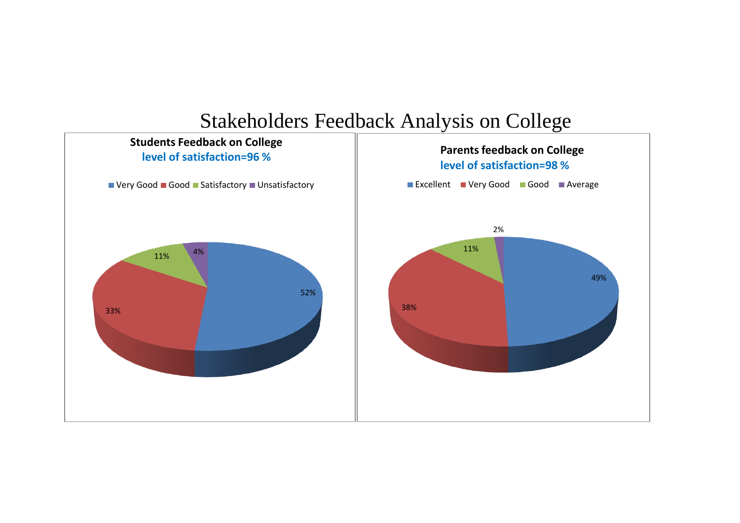

# Stakeholders Feedback Analysis on College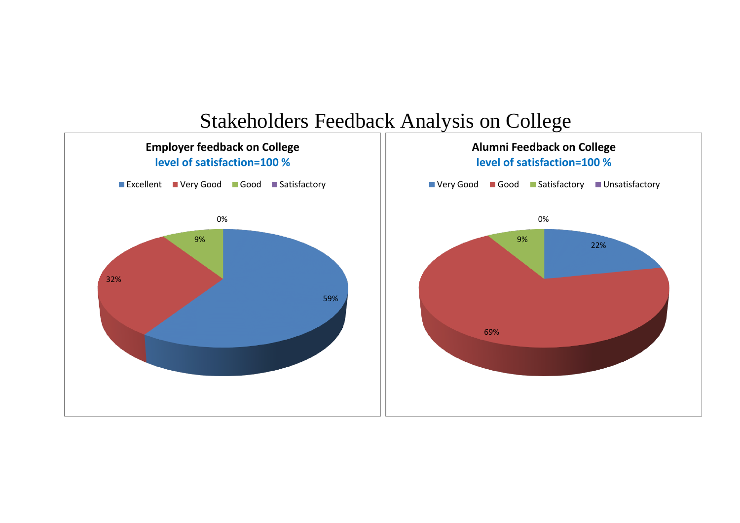

# Stakeholders Feedback Analysis on College